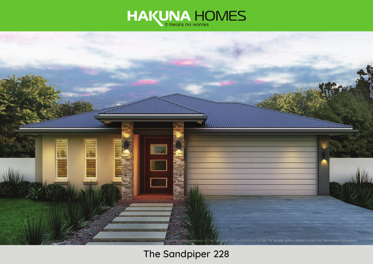



# **The Sandpiper 228**